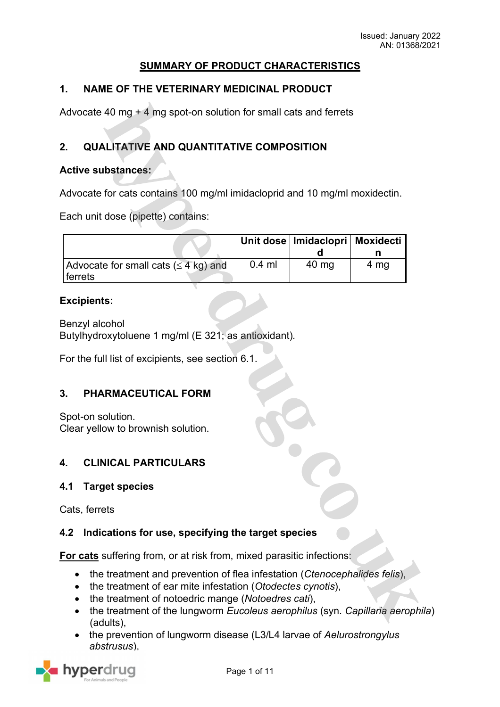# **SUMMARY OF PRODUCT CHARACTERISTICS**

# **1. NAME OF THE VETERINARY MEDICINAL PRODUCT**

Advocate 40 mg + 4 mg spot-on solution for small cats and ferrets

# **2. QUALITATIVE AND QUANTITATIVE COMPOSITION**

### **Active substances:**

Advocate for cats contains 100 mg/ml imidacloprid and 10 mg/ml moxidectin.

Each unit dose (pipette) contains:

|                                                                       |          | Unit dose   Imidaclopri   Moxidecti |      |
|-----------------------------------------------------------------------|----------|-------------------------------------|------|
|                                                                       |          |                                     |      |
| Advocate for small cats $(\leq 4 \text{ kg})$ and<br><i>I</i> ferrets | $0.4$ ml | 40 mg                               | 4 mg |

### **Excipients:**

Benzyl alcohol Butylhydroxytoluene 1 mg/ml (E 321; as antioxidant)*.*

For the full list of excipients, see section 6.1.

#### **3. PHARMACEUTICAL FORM**

Spot-on solution. Clear yellow to brownish solution.

# **4. CLINICAL PARTICULARS**

#### **4.1 Target species**

Cats, ferrets

# **4.2 Indications for use, specifying the target species**

**For cats** suffering from, or at risk from, mixed parasitic infections:

- the treatment and prevention of flea infestation (*Ctenocephalides felis*),
- the treatment of ear mite infestation (*Otodectes cynotis*),
- the treatment of notoedric mange (*Notoedres cati*),
- the treatment of the lungworm *Eucoleus aerophilus* (syn. *Capillaria aerophila*) (adults),
- the prevention of lungworm disease (L3/L4 larvae of *Aelurostrongylus abstrusus*),

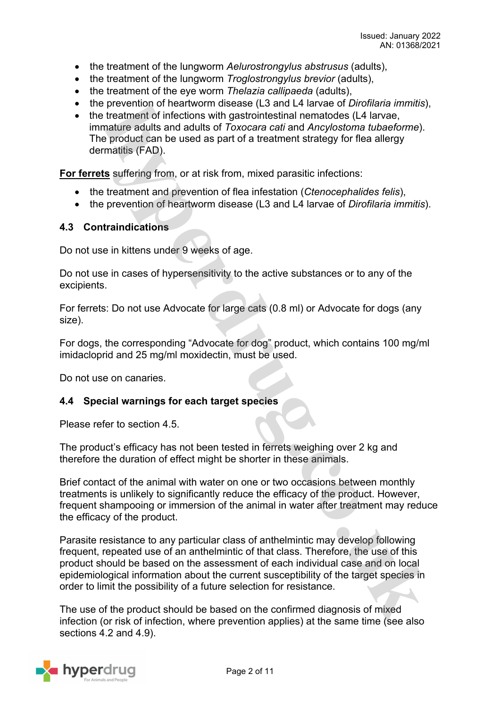- the treatment of the lungworm *Aelurostrongylus abstrusus* (adults),
- the treatment of the lungworm *Troglostrongylus brevior* (adults),
- the treatment of the eye worm *Thelazia callipaeda* (adults),
- the prevention of heartworm disease (L3 and L4 larvae of *Dirofilaria immitis*),
- the treatment of infections with gastrointestinal nematodes (L4 larvae, immature adults and adults of *Toxocara cati* and *Ancylostoma tubaeforme*). The product can be used as part of a treatment strategy for flea allergy dermatitis (FAD).

**For ferrets** suffering from, or at risk from, mixed parasitic infections:

- the treatment and prevention of flea infestation (*Ctenocephalides felis*),
- the prevention of heartworm disease (L3 and L4 larvae of *Dirofilaria immitis*).

### **4.3 Contraindications**

Do not use in kittens under 9 weeks of age.

Do not use in cases of hypersensitivity to the active substances or to any of the excipients.

For ferrets: Do not use Advocate for large cats (0.8 ml) or Advocate for dogs (any size).

For dogs, the corresponding "Advocate for dog" product, which contains 100 mg/ml imidacloprid and 25 mg/ml moxidectin, must be used.

Do not use on canaries.

#### **4.4 Special warnings for each target species**

Please refer to section 4.5.

The product's efficacy has not been tested in ferrets weighing over 2 kg and therefore the duration of effect might be shorter in these animals.

Brief contact of the animal with water on one or two occasions between monthly treatments is unlikely to significantly reduce the efficacy of the product. However, frequent shampooing or immersion of the animal in water after treatment may reduce the efficacy of the product.

Parasite resistance to any particular class of anthelmintic may develop following frequent, repeated use of an anthelmintic of that class. Therefore, the use of this product should be based on the assessment of each individual case and on local epidemiological information about the current susceptibility of the target species in order to limit the possibility of a future selection for resistance.

The use of the product should be based on the confirmed diagnosis of mixed infection (or risk of infection, where prevention applies) at the same time (see also sections 4.2 and 4.9).

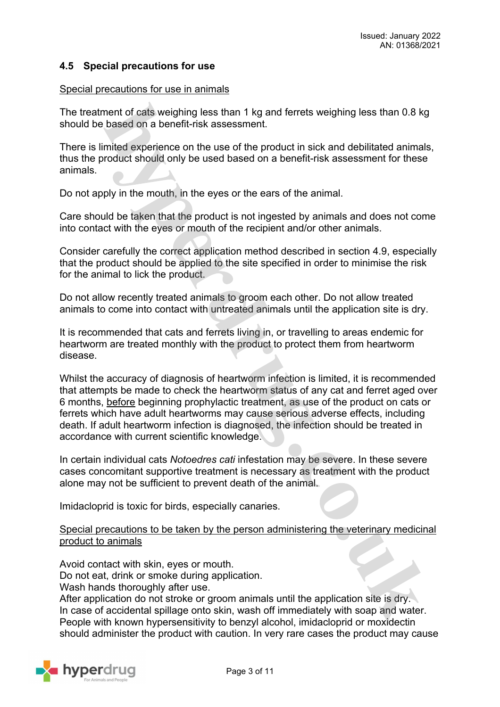# **4.5 Special precautions for use**

#### Special precautions for use in animals

The treatment of cats weighing less than 1 kg and ferrets weighing less than 0.8 kg should be based on a benefit-risk assessment.

There is limited experience on the use of the product in sick and debilitated animals, thus the product should only be used based on a benefit-risk assessment for these animals.

Do not apply in the mouth, in the eyes or the ears of the animal.

Care should be taken that the product is not ingested by animals and does not come into contact with the eyes or mouth of the recipient and/or other animals.

Consider carefully the correct application method described in section 4.9, especially that the product should be applied to the site specified in order to minimise the risk for the animal to lick the product.

Do not allow recently treated animals to groom each other. Do not allow treated animals to come into contact with untreated animals until the application site is dry.

It is recommended that cats and ferrets living in, or travelling to areas endemic for heartworm are treated monthly with the product to protect them from heartworm disease.

Whilst the accuracy of diagnosis of heartworm infection is limited, it is recommended that attempts be made to check the heartworm status of any cat and ferret aged over 6 months, before beginning prophylactic treatment, as use of the product on cats or ferrets which have adult heartworms may cause serious adverse effects, including death. If adult heartworm infection is diagnosed, the infection should be treated in accordance with current scientific knowledge.

In certain individual cats *Notoedres cati* infestation may be severe. In these severe cases concomitant supportive treatment is necessary as treatment with the product alone may not be sufficient to prevent death of the animal.

Imidacloprid is toxic for birds, especially canaries.

Special precautions to be taken by the person administering the veterinary medicinal product to animals

Avoid contact with skin, eyes or mouth.

Do not eat, drink or smoke during application.

Wash hands thoroughly after use.

After application do not stroke or groom animals until the application site is dry. In case of accidental spillage onto skin, wash off immediately with soap and water. People with known hypersensitivity to benzyl alcohol, imidacloprid or moxidectin should administer the product with caution. In very rare cases the product may cause

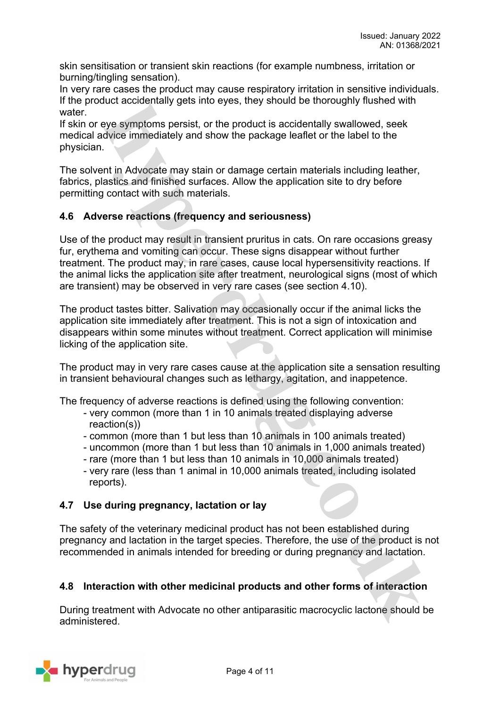skin sensitisation or transient skin reactions (for example numbness, irritation or burning/tingling sensation).

In very rare cases the product may cause respiratory irritation in sensitive individuals. If the product accidentally gets into eyes, they should be thoroughly flushed with water.

If skin or eye symptoms persist, or the product is accidentally swallowed, seek medical advice immediately and show the package leaflet or the label to the physician.

The solvent in Advocate may stain or damage certain materials including leather, fabrics, plastics and finished surfaces. Allow the application site to dry before permitting contact with such materials.

# **4.6 Adverse reactions (frequency and seriousness)**

Use of the product may result in transient pruritus in cats. On rare occasions greasy fur, erythema and vomiting can occur. These signs disappear without further treatment. The product may, in rare cases, cause local hypersensitivity reactions. If the animal licks the application site after treatment, neurological signs (most of which are transient) may be observed in very rare cases (see section 4.10).

The product tastes bitter. Salivation may occasionally occur if the animal licks the application site immediately after treatment. This is not a sign of intoxication and disappears within some minutes without treatment. Correct application will minimise licking of the application site.

The product may in very rare cases cause at the application site a sensation resulting in transient behavioural changes such as lethargy, agitation, and inappetence.

The frequency of adverse reactions is defined using the following convention:

- very common (more than 1 in 10 animals treated displaying adverse reaction(s))
- common (more than 1 but less than 10 animals in 100 animals treated)
- uncommon (more than 1 but less than 10 animals in 1,000 animals treated)
- rare (more than 1 but less than 10 animals in 10,000 animals treated)
- very rare (less than 1 animal in 10,000 animals treated, including isolated reports).

# **4.7 Use during pregnancy, lactation or lay**

The safety of the veterinary medicinal product has not been established during pregnancy and lactation in the target species. Therefore, the use of the product is not recommended in animals intended for breeding or during pregnancy and lactation.

# **4.8 Interaction with other medicinal products and other forms of interaction**

During treatment with Advocate no other antiparasitic macrocyclic lactone should be administered.

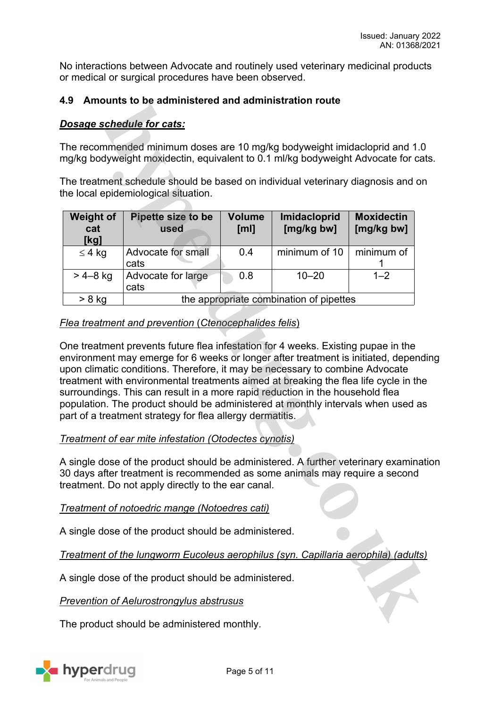No interactions between Advocate and routinely used veterinary medicinal products or medical or surgical procedures have been observed.

# **4.9 Amounts to be administered and administration route**

# *Dosage schedule for cats:*

The recommended minimum doses are 10 mg/kg bodyweight imidacloprid and 1.0 mg/kg bodyweight moxidectin, equivalent to 0.1 ml/kg bodyweight Advocate for cats.

The treatment schedule should be based on individual veterinary diagnosis and on the local epidemiological situation.

| <b>Weight of</b><br>cat<br>[kg] | Pipette size to be<br>used              | <b>Volume</b><br>[ml] | Imidacloprid<br>[mg/kg bw] | <b>Moxidectin</b><br>[mg/kg bw] |  |
|---------------------------------|-----------------------------------------|-----------------------|----------------------------|---------------------------------|--|
| $\leq 4$ kg                     | Advocate for small<br>cats              | 0.4                   | minimum of 10              | minimum of                      |  |
| $> 4 - 8$ kg                    | Advocate for large<br>cats              | 0.8                   | $10 - 20$                  | $1 - 2$                         |  |
| $> 8$ kg                        | the appropriate combination of pipettes |                       |                            |                                 |  |

# *Flea treatment and prevention* (*Ctenocephalides felis*)

One treatment prevents future flea infestation for 4 weeks. Existing pupae in the environment may emerge for 6 weeks or longer after treatment is initiated, depending upon climatic conditions. Therefore, it may be necessary to combine Advocate treatment with environmental treatments aimed at breaking the flea life cycle in the surroundings. This can result in a more rapid reduction in the household flea population. The product should be administered at monthly intervals when used as part of a treatment strategy for flea allergy dermatitis.

# *Treatment of ear mite infestation (Otodectes cynotis)*

A single dose of the product should be administered. A further veterinary examination 30 days after treatment is recommended as some animals may require a second treatment. Do not apply directly to the ear canal.

*Treatment of notoedric mange (Notoedres cati)*

A single dose of the product should be administered.

*Treatment of the lungworm Eucoleus aerophilus (syn. Capillaria aerophila) (adults)*

A single dose of the product should be administered.

#### *Prevention of Aelurostrongylus abstrusus*

The product should be administered monthly.

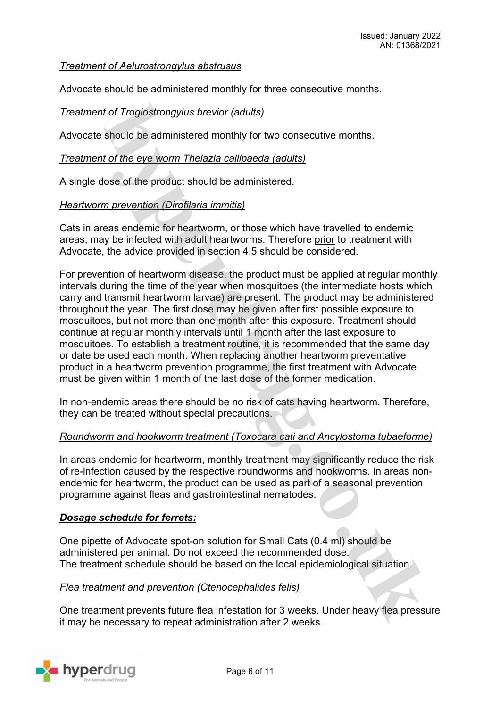# *Treatment of Aelurostrongylus abstrusus*

Advocate should be administered monthly for three consecutive months.

# *Treatment of Troglostrongylus brevior (adults)*

Advocate should be administered monthly for two consecutive months.

### *Treatment of the eye worm Thelazia callipaeda (adults)*

A single dose of the product should be administered.

### *Heartworm prevention (Dirofilaria immitis)*

Cats in areas endemic for heartworm, or those which have travelled to endemic areas, may be infected with adult heartworms. Therefore prior to treatment with Advocate, the advice provided in section 4.5 should be considered.

For prevention of heartworm disease, the product must be applied at regular monthly intervals during the time of the year when mosquitoes (the intermediate hosts which carry and transmit heartworm larvae) are present. The product may be administered throughout the year. The first dose may be given after first possible exposure to mosquitoes, but not more than one month after this exposure. Treatment should continue at regular monthly intervals until 1 month after the last exposure to mosquitoes. To establish a treatment routine, it is recommended that the same day or date be used each month. When replacing another heartworm preventative product in a heartworm prevention programme, the first treatment with Advocate must be given within 1 month of the last dose of the former medication.

In non-endemic areas there should be no risk of cats having heartworm. Therefore, they can be treated without special precautions.

#### *Roundworm and hookworm treatment (Toxocara cati and Ancylostoma tubaeforme)*

In areas endemic for heartworm, monthly treatment may significantly reduce the risk of re-infection caused by the respective roundworms and hookworms. In areas nonendemic for heartworm, the product can be used as part of a seasonal prevention programme against fleas and gastrointestinal nematodes.

#### *Dosage schedule for ferrets:*

One pipette of Advocate spot-on solution for Small Cats (0.4 ml) should be administered per animal. Do not exceed the recommended dose. The treatment schedule should be based on the local epidemiological situation.

#### *Flea treatment and prevention (Ctenocephalides felis)*

One treatment prevents future flea infestation for 3 weeks. Under heavy flea pressure it may be necessary to repeat administration after 2 weeks.

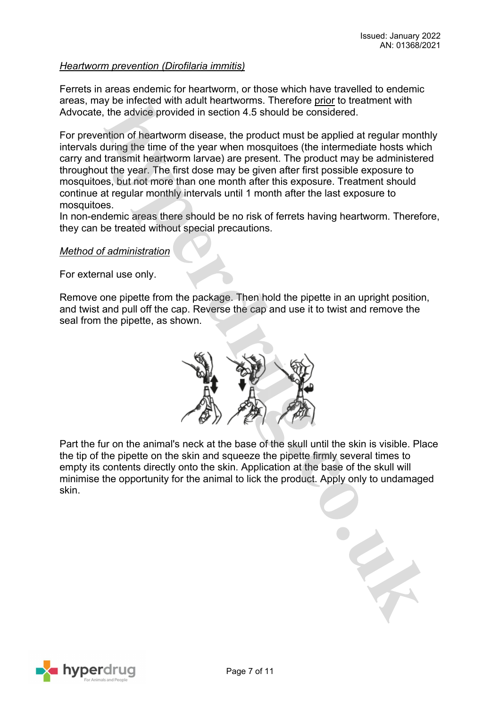### *Heartworm prevention (Dirofilaria immitis)*

Ferrets in areas endemic for heartworm, or those which have travelled to endemic areas, may be infected with adult heartworms. Therefore prior to treatment with Advocate, the advice provided in section 4.5 should be considered.

For prevention of heartworm disease, the product must be applied at regular monthly intervals during the time of the year when mosquitoes (the intermediate hosts which carry and transmit heartworm larvae) are present. The product may be administered throughout the year. The first dose may be given after first possible exposure to mosquitoes, but not more than one month after this exposure. Treatment should continue at regular monthly intervals until 1 month after the last exposure to mosquitoes.

In non-endemic areas there should be no risk of ferrets having heartworm. Therefore, they can be treated without special precautions.

#### *Method of administration*

For external use only.

Remove one pipette from the package. Then hold the pipette in an upright position, and twist and pull off the cap. Reverse the cap and use it to twist and remove the seal from the pipette, as shown.



Part the fur on the animal's neck at the base of the skull until the skin is visible. Place the tip of the pipette on the skin and squeeze the pipette firmly several times to empty its contents directly onto the skin. Application at the base of the skull will minimise the opportunity for the animal to lick the product. Apply only to undamaged skin.

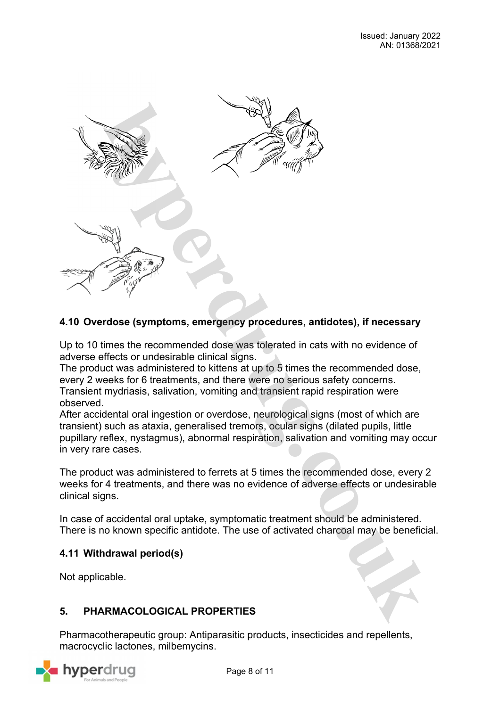

# **4.10 Overdose (symptoms, emergency procedures, antidotes), if necessary**

Up to 10 times the recommended dose was tolerated in cats with no evidence of adverse effects or undesirable clinical signs.

The product was administered to kittens at up to 5 times the recommended dose, every 2 weeks for 6 treatments, and there were no serious safety concerns. Transient mydriasis, salivation, vomiting and transient rapid respiration were observed.

After accidental oral ingestion or overdose, neurological signs (most of which are transient) such as ataxia, generalised tremors, ocular signs (dilated pupils, little pupillary reflex, nystagmus), abnormal respiration, salivation and vomiting may occur in very rare cases.

The product was administered to ferrets at 5 times the recommended dose, every 2 weeks for 4 treatments, and there was no evidence of adverse effects or undesirable clinical signs.

In case of accidental oral uptake, symptomatic treatment should be administered. There is no known specific antidote. The use of activated charcoal may be beneficial.

# **4.11 Withdrawal period(s)**

Not applicable.

# **5. PHARMACOLOGICAL PROPERTIES**

Pharmacotherapeutic group: Antiparasitic products, insecticides and repellents, macrocyclic lactones, milbemycins.

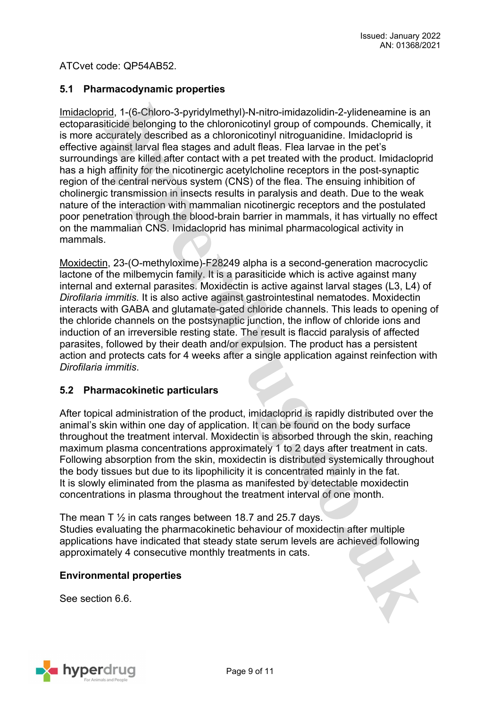ATCvet code: QP54AB52.

# **5.1 Pharmacodynamic properties**

Imidacloprid, 1-(6-Chloro-3-pyridylmethyl)-N-nitro-imidazolidin-2-ylideneamine is an ectoparasiticide belonging to the chloronicotinyl group of compounds. Chemically, it is more accurately described as a chloronicotinyl nitroguanidine. Imidacloprid is effective against larval flea stages and adult fleas. Flea larvae in the pet's surroundings are killed after contact with a pet treated with the product. Imidacloprid has a high affinity for the nicotinergic acetylcholine receptors in the post-synaptic region of the central nervous system (CNS) of the flea. The ensuing inhibition of cholinergic transmission in insects results in paralysis and death. Due to the weak nature of the interaction with mammalian nicotinergic receptors and the postulated poor penetration through the blood-brain barrier in mammals, it has virtually no effect on the mammalian CNS. Imidacloprid has minimal pharmacological activity in mammals.

Moxidectin, 23-(O-methyloxime)-F28249 alpha is a second-generation macrocyclic lactone of the milbemycin family. It is a parasiticide which is active against many internal and external parasites. Moxidectin is active against larval stages (L3, L4) of *Dirofilaria immitis.* It is also active against gastrointestinal nematodes. Moxidectin interacts with GABA and glutamate-gated chloride channels. This leads to opening of the chloride channels on the postsynaptic junction, the inflow of chloride ions and induction of an irreversible resting state. The result is flaccid paralysis of affected parasites, followed by their death and/or expulsion. The product has a persistent action and protects cats for 4 weeks after a single application against reinfection with *Dirofilaria immitis*.

# **5.2 Pharmacokinetic particulars**

After topical administration of the product, imidacloprid is rapidly distributed over the animal's skin within one day of application. It can be found on the body surface throughout the treatment interval. Moxidectin is absorbed through the skin, reaching maximum plasma concentrations approximately 1 to 2 days after treatment in cats. Following absorption from the skin, moxidectin is distributed systemically throughout the body tissues but due to its lipophilicity it is concentrated mainly in the fat. It is slowly eliminated from the plasma as manifested by detectable moxidectin concentrations in plasma throughout the treatment interval of one month.

The mean T  $\frac{1}{2}$  in cats ranges between 18.7 and 25.7 days. Studies evaluating the pharmacokinetic behaviour of moxidectin after multiple applications have indicated that steady state serum levels are achieved following approximately 4 consecutive monthly treatments in cats.

# **Environmental properties**

See section 6.6.

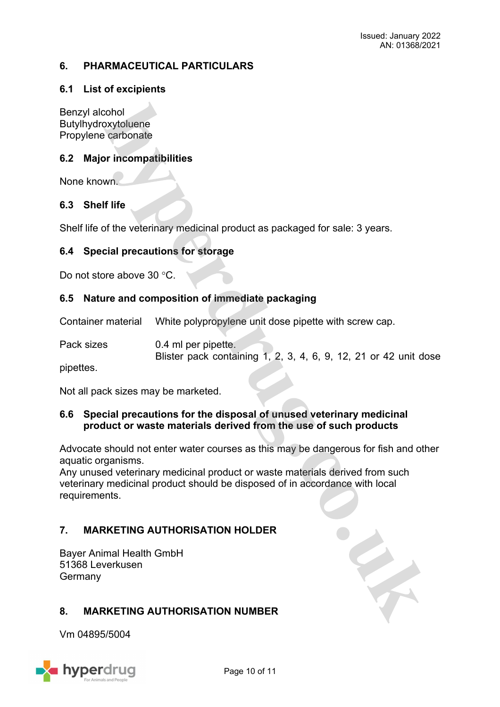# **6. PHARMACEUTICAL PARTICULARS**

### **6.1 List of excipients**

Benzyl alcohol Butylhydroxytoluene Propylene carbonate

### **6.2 Major incompatibilities**

None known.

### **6.3 Shelf life**

Shelf life of the veterinary medicinal product as packaged for sale: 3 years.

### **6.4 Special precautions for storage**

Do not store above 30  $\degree$ C.

### **6.5 Nature and composition of immediate packaging**

Container material White polypropylene unit dose pipette with screw cap.

Pack sizes 0.4 ml per pipette. Blister pack containing 1, 2, 3, 4, 6, 9, 12, 21 or 42 unit dose

pipettes.

Not all pack sizes may be marketed.

### **6.6 Special precautions for the disposal of unused veterinary medicinal product or waste materials derived from the use of such products**

Advocate should not enter water courses as this may be dangerous for fish and other aquatic organisms.

Any unused veterinary medicinal product or waste materials derived from such veterinary medicinal product should be disposed of in accordance with local requirements.

# **7. MARKETING AUTHORISATION HOLDER**

Bayer Animal Health GmbH 51368 Leverkusen **Germany** 

# **8. MARKETING AUTHORISATION NUMBER**

Vm 04895/5004